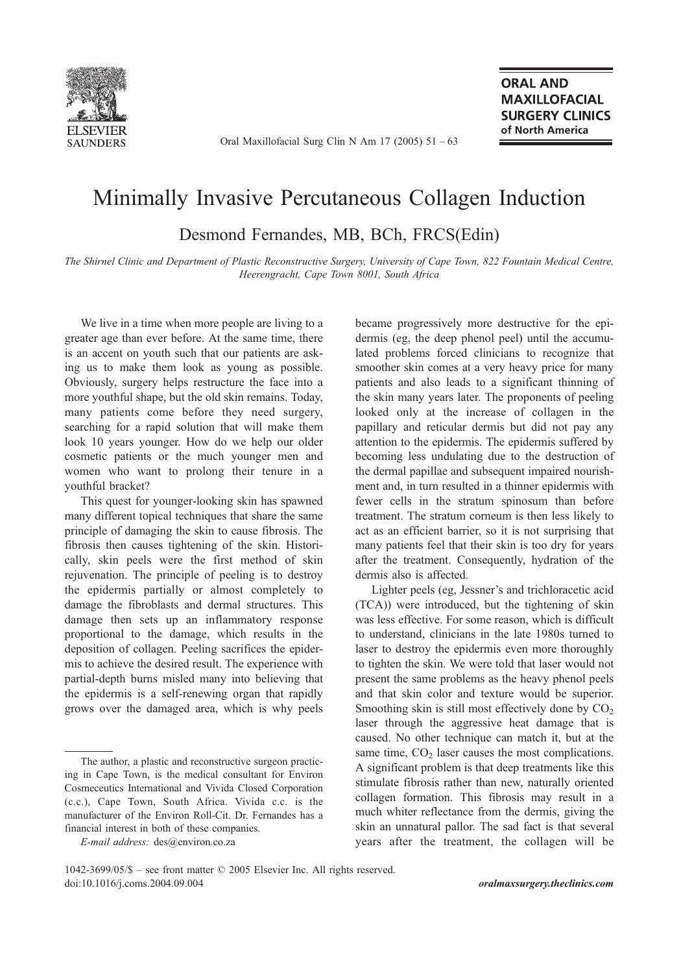

Oral Maxillofacial Surg Clin N Am 17 (2005) 51 – 63

**ORAL AND MAXILLOFACIAL SURGERY CLINICS** of North America

# Minimally Invasive Percutaneous Collagen Induction

Desmond Fernandes, MB, BCh, FRCS(Edin)

The Shirnel Clinic and Department of Plastic Reconstructive Surgery, University of Cape Town, 822 Fountain Medical Centre, Heerengracht, Cape Town 8001, South Africa

We live in a time when more people are living to a greater age than ever before. At the same time, there is an accent on youth such that our patients are asking us to make them look as young as possible. Obviously, surgery helps restructure the face into a more youthful shape, but the old skin remains. Today, many patients come before they need surgery, searching for a rapid solution that will make them look 10 years younger. How do we help our older cosmetic patients or the much younger men and women who want to prolong their tenure in a youthful bracket?

This quest for younger-looking skin has spawned many different topical techniques that share the same principle of damaging the skin to cause fibrosis. The fibrosis then causes tightening of the skin. Historically, skin peels were the first method of skin rejuvenation. The principle of peeling is to destroy the epidermis partially or almost completely to damage the fibroblasts and dermal structures. This damage then sets up an inflammatory response proportional to the damage, which results in the deposition of collagen. Peeling sacrifices the epidermis to achieve the desired result. The experience with partial-depth burns misled many into believing that the epidermis is a self-renewing organ that rapidly grows over the damaged area, which is why peels

became progressively more destructive for the epidermis (eg, the deep phenol peel) until the accumulated problems forced clinicians to recognize that smoother skin comes at a very heavy price for many patients and also leads to a significant thinning of the skin many years later. The proponents of peeling looked only at the increase of collagen in the papillary and reticular dermis but did not pay any attention to the epidermis. The epidermis suffered by becoming less undulating due to the destruction of the dermal papillae and subsequent impaired nourishment and, in turn resulted in a thinner epidermis with fewer cells in the stratum spinosum than before treatment. The stratum corneum is then less likely to act as an efficient barrier, so it is not surprising that many patients feel that their skin is too dry for years after the treatment. Consequently, hydration of the dermis also is affected.

Lighter peels (eg, Jessner's and trichloracetic acid (TCA)) were introduced, but the tightening of skin was less effective. For some reason, which is difficult to understand, clinicians in the late 1980s turned to laser to destroy the epidermis even more thoroughly to tighten the skin. We were told that laser would not present the same problems as the heavy phenol peels and that skin color and texture would be superior. Smoothing skin is still most effectively done by  $CO<sub>2</sub>$ laser through the aggressive heat damage that is caused. No other technique can match it, but at the same time,  $CO<sub>2</sub>$  laser causes the most complications. A significant problem is that deep treatments like this stimulate fibrosis rather than new, naturally oriented collagen formation. This fibrosis may result in a much whiter reflectance from the dermis, giving the skin an unnatural pallor. The sad fact is that several years after the treatment, the collagen will be

The author, a plastic and reconstructive surgeon practicing in Cape Town, is the medical consultant for Environ Cosmeceutics International and Vivida Closed Corporation (c.c.), Cape Town, South Africa. Vivida c.c. is the manufacturer of the Environ Roll-Cit. Dr. Fernandes has a financial interest in both of these companies.

E-mail address: des@environ.co.za

<sup>1042-3699/05/\$ –</sup> see front matter © 2005 Elsevier Inc. All rights reserved. doi:10.1016/j.coms.2004.09.004 oralmaxsurgery.theclinics.com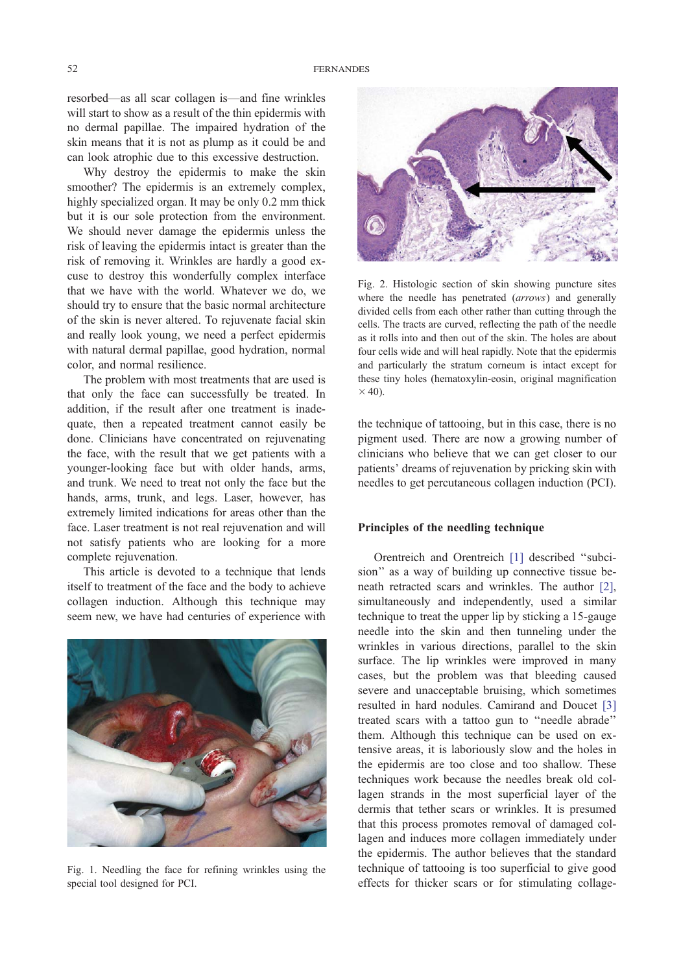<span id="page-1-0"></span>resorbed—as all scar collagen is—and fine wrinkles will start to show as a result of the thin epidermis with no dermal papillae. The impaired hydration of the skin means that it is not as plump as it could be and can look atrophic due to this excessive destruction.

Why destroy the epidermis to make the skin smoother? The epidermis is an extremely complex, highly specialized organ. It may be only 0.2 mm thick but it is our sole protection from the environment. We should never damage the epidermis unless the risk of leaving the epidermis intact is greater than the risk of removing it. Wrinkles are hardly a good excuse to destroy this wonderfully complex interface that we have with the world. Whatever we do, we should try to ensure that the basic normal architecture of the skin is never altered. To rejuvenate facial skin and really look young, we need a perfect epidermis with natural dermal papillae, good hydration, normal color, and normal resilience.

The problem with most treatments that are used is that only the face can successfully be treated. In addition, if the result after one treatment is inadequate, then a repeated treatment cannot easily be done. Clinicians have concentrated on rejuvenating the face, with the result that we get patients with a younger-looking face but with older hands, arms, and trunk. We need to treat not only the face but the hands, arms, trunk, and legs. Laser, however, has extremely limited indications for areas other than the face. Laser treatment is not real rejuvenation and will not satisfy patients who are looking for a more complete rejuvenation.

This article is devoted to a technique that lends itself to treatment of the face and the body to achieve collagen induction. Although this technique may seem new, we have had centuries of experience with



Fig. 1. Needling the face for refining wrinkles using the special tool designed for PCI.



Fig. 2. Histologic section of skin showing puncture sites where the needle has penetrated (arrows) and generally divided cells from each other rather than cutting through the cells. The tracts are curved, reflecting the path of the needle as it rolls into and then out of the skin. The holes are about four cells wide and will heal rapidly. Note that the epidermis and particularly the stratum corneum is intact except for these tiny holes (hematoxylin-eosin, original magnification  $\times$  40).

the technique of tattooing, but in this case, there is no pigment used. There are now a growing number of clinicians who believe that we can get closer to our patients' dreams of rejuvenation by pricking skin with needles to get percutaneous collagen induction (PCI).

## Principles of the needling technique

Orentreich and Orentreich [\[1\]](#page-12-0) described ''subcision'' as a way of building up connective tissue beneath retracted scars and wrinkles. The author [\[2\],](#page-12-0) simultaneously and independently, used a similar technique to treat the upper lip by sticking a 15-gauge needle into the skin and then tunneling under the wrinkles in various directions, parallel to the skin surface. The lip wrinkles were improved in many cases, but the problem was that bleeding caused severe and unacceptable bruising, which sometimes resulted in hard nodules. Camirand and Doucet [\[3\]](#page-12-0) treated scars with a tattoo gun to ''needle abrade'' them. Although this technique can be used on extensive areas, it is laboriously slow and the holes in the epidermis are too close and too shallow. These techniques work because the needles break old collagen strands in the most superficial layer of the dermis that tether scars or wrinkles. It is presumed that this process promotes removal of damaged collagen and induces more collagen immediately under the epidermis. The author believes that the standard technique of tattooing is too superficial to give good effects for thicker scars or for stimulating collage-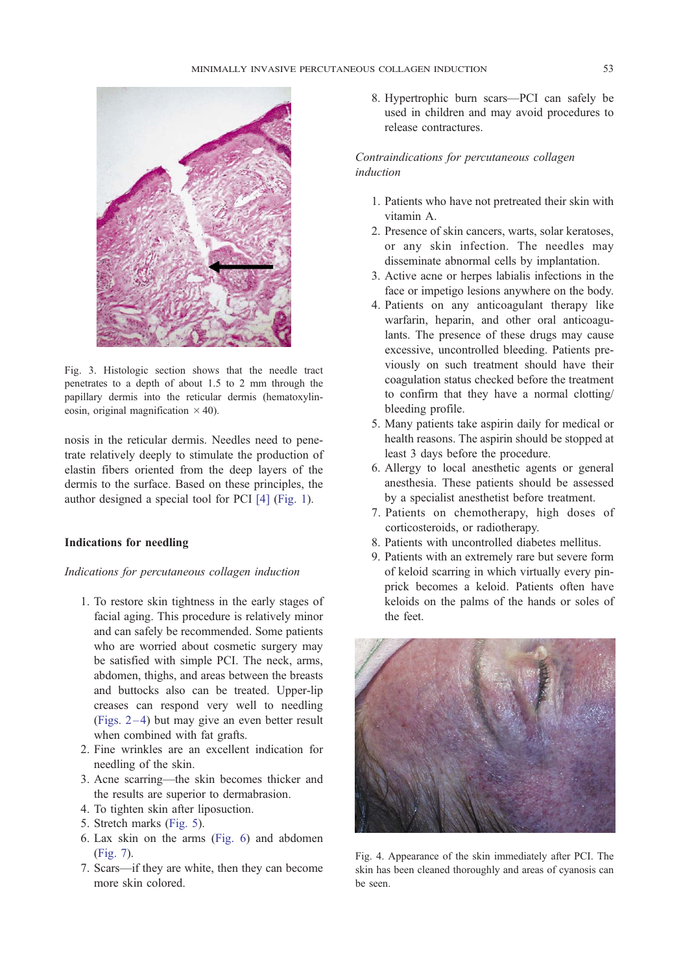<span id="page-2-0"></span>

Fig. 3. Histologic section shows that the needle tract penetrates to a depth of about 1.5 to 2 mm through the papillary dermis into the reticular dermis (hematoxylineosin, original magnification  $\times$  40).

nosis in the reticular dermis. Needles need to penetrate relatively deeply to stimulate the production of elastin fibers oriented from the deep layers of the dermis to the surface. Based on these principles, the author designed a special tool for PCI [\[4\]](#page-12-0) ([Fig. 1\)](#page-1-0).

#### Indications for needling

## Indications for percutaneous collagen induction

- 1. To restore skin tightness in the early stages of facial aging. This procedure is relatively minor and can safely be recommended. Some patients who are worried about cosmetic surgery may be satisfied with simple PCI. The neck, arms, abdomen, thighs, and areas between the breasts and buttocks also can be treated. Upper-lip creases can respond very well to needling (Figs.  $2-4$ ) but may give an even better result when combined with fat grafts.
- 2. Fine wrinkles are an excellent indication for needling of the skin.
- 3. Acne scarring—the skin becomes thicker and the results are superior to dermabrasion.
- 4. To tighten skin after liposuction.
- 5. Stretch marks ([Fig. 5\)](#page-3-0).
- 6. Lax skin on the arms ([Fig. 6\)](#page-3-0) and abdomen ([Fig. 7\)](#page-4-0).
- 7. Scars—if they are white, then they can become more skin colored.

8. Hypertrophic burn scars—PCI can safely be used in children and may avoid procedures to release contractures.

Contraindications for percutaneous collagen induction

- 1. Patients who have not pretreated their skin with vitamin A.
- 2. Presence of skin cancers, warts, solar keratoses, or any skin infection. The needles may disseminate abnormal cells by implantation.
- 3. Active acne or herpes labialis infections in the face or impetigo lesions anywhere on the body.
- 4. Patients on any anticoagulant therapy like warfarin, heparin, and other oral anticoagulants. The presence of these drugs may cause excessive, uncontrolled bleeding. Patients previously on such treatment should have their coagulation status checked before the treatment to confirm that they have a normal clotting/ bleeding profile.
- 5. Many patients take aspirin daily for medical or health reasons. The aspirin should be stopped at least 3 days before the procedure.
- 6. Allergy to local anesthetic agents or general anesthesia. These patients should be assessed by a specialist anesthetist before treatment.
- 7. Patients on chemotherapy, high doses of corticosteroids, or radiotherapy.
- 8. Patients with uncontrolled diabetes mellitus.
- 9. Patients with an extremely rare but severe form of keloid scarring in which virtually every pinprick becomes a keloid. Patients often have keloids on the palms of the hands or soles of the feet.



Fig. 4. Appearance of the skin immediately after PCI. The skin has been cleaned thoroughly and areas of cyanosis can be seen.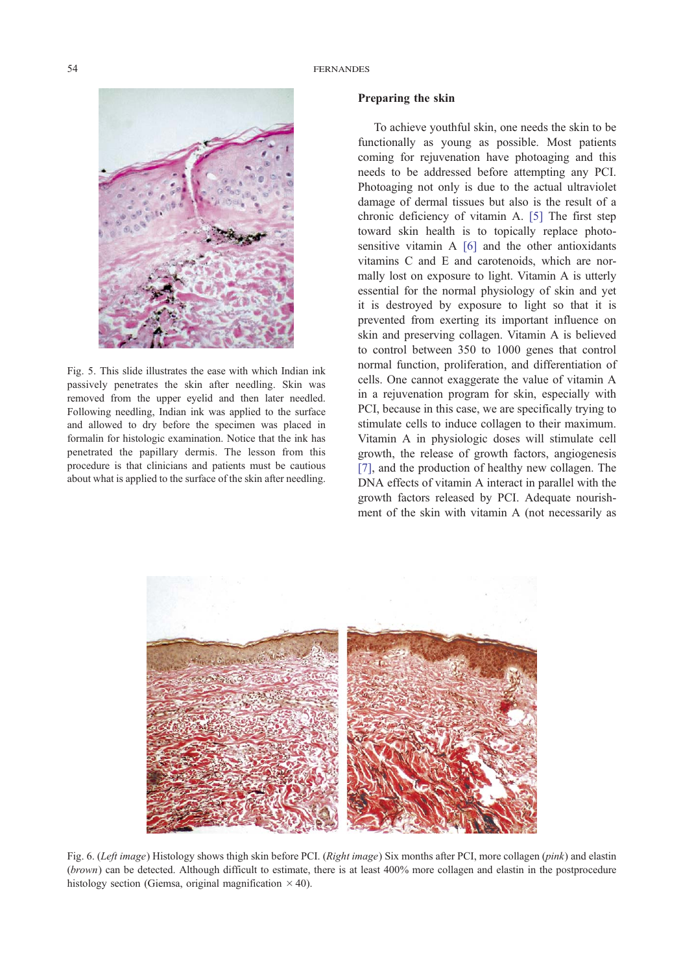<span id="page-3-0"></span>

Fig. 5. This slide illustrates the ease with which Indian ink passively penetrates the skin after needling. Skin was removed from the upper eyelid and then later needled. Following needling, Indian ink was applied to the surface and allowed to dry before the specimen was placed in formalin for histologic examination. Notice that the ink has penetrated the papillary dermis. The lesson from this procedure is that clinicians and patients must be cautious about what is applied to the surface of the skin after needling.

#### Preparing the skin

To achieve youthful skin, one needs the skin to be functionally as young as possible. Most patients coming for rejuvenation have photoaging and this needs to be addressed before attempting any PCI. Photoaging not only is due to the actual ultraviolet damage of dermal tissues but also is the result of a chronic deficiency of vitamin A. [\[5\]](#page-12-0) The first step toward skin health is to topically replace photo-sensitive vitamin A [\[6\]](#page-12-0) and the other antioxidants vitamins C and E and carotenoids, which are normally lost on exposure to light. Vitamin A is utterly essential for the normal physiology of skin and yet it is destroyed by exposure to light so that it is prevented from exerting its important influence on skin and preserving collagen. Vitamin A is believed to control between 350 to 1000 genes that control normal function, proliferation, and differentiation of cells. One cannot exaggerate the value of vitamin A in a rejuvenation program for skin, especially with PCI, because in this case, we are specifically trying to stimulate cells to induce collagen to their maximum. Vitamin A in physiologic doses will stimulate cell growth, the release of growth factors, angiogenesis [\[7\],](#page-12-0) and the production of healthy new collagen. The DNA effects of vitamin A interact in parallel with the growth factors released by PCI. Adequate nourishment of the skin with vitamin A (not necessarily as



Fig. 6. (Left image) Histology shows thigh skin before PCI. (Right image) Six months after PCI, more collagen (pink) and elastin (brown) can be detected. Although difficult to estimate, there is at least 400% more collagen and elastin in the postprocedure histology section (Giemsa, original magnification  $\times$  40).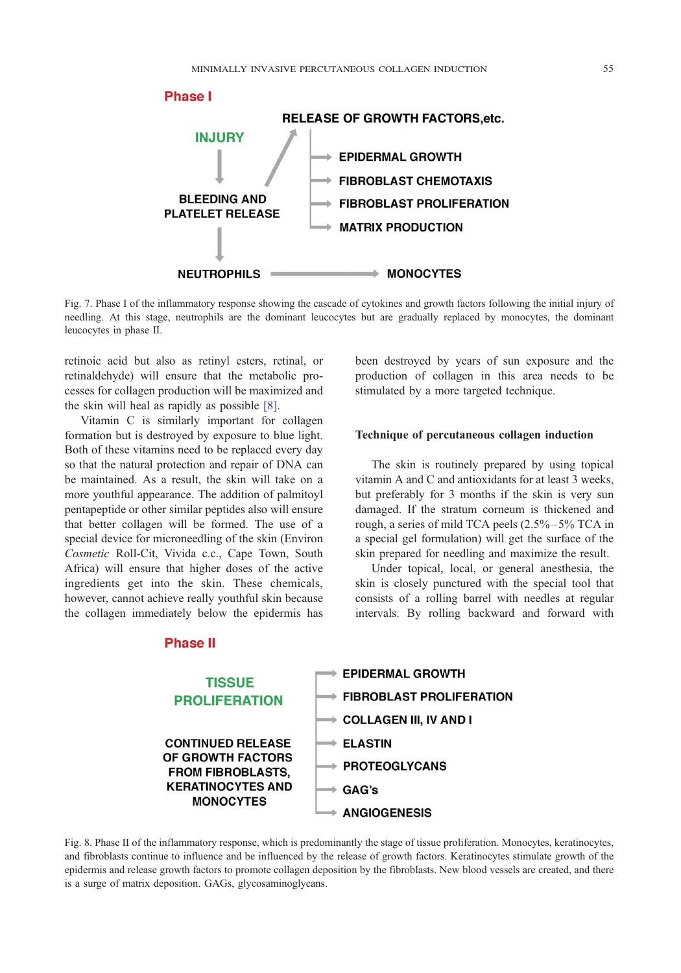<span id="page-4-0"></span>

Fig. 7. Phase I of the inflammatory response showing the cascade of cytokines and growth factors following the initial injury of needling. At this stage, neutrophils are the dominant leucocytes but are gradually replaced by monocytes, the dominant leucocytes in phase II.

retinoic acid but also as retinyl esters, retinal, or retinaldehyde) will ensure that the metabolic processes for collagen production will be maximized and the skin will heal as rapidly as possible [\[8\].](#page-12-0)

Vitamin C is similarly important for collagen formation but is destroyed by exposure to blue light. Both of these vitamins need to be replaced every day so that the natural protection and repair of DNA can be maintained. As a result, the skin will take on a more youthful appearance. The addition of palmitoyl pentapeptide or other similar peptides also will ensure that better collagen will be formed. The use of a special device for microneedling of the skin (Environ Cosmetic Roll-Cit, Vivida c.c., Cape Town, South Africa) will ensure that higher doses of the active ingredients get into the skin. These chemicals, however, cannot achieve really youthful skin because the collagen immediately below the epidermis has

**Phase II** 

been destroyed by years of sun exposure and the production of collagen in this area needs to be stimulated by a more targeted technique.

#### Technique of percutaneous collagen induction

The skin is routinely prepared by using topical vitamin A and C and antioxidants for at least 3 weeks, but preferably for 3 months if the skin is very sun damaged. If the stratum corneum is thickened and rough, a series of mild TCA peels (2.5% – 5% TCA in a special gel formulation) will get the surface of the skin prepared for needling and maximize the result.

Under topical, local, or general anesthesia, the skin is closely punctured with the special tool that consists of a rolling barrel with needles at regular intervals. By rolling backward and forward with



Fig. 8. Phase II of the inflammatory response, which is predominantly the stage of tissue proliferation. Monocytes, keratinocytes, and fibroblasts continue to influence and be influenced by the release of growth factors. Keratinocytes stimulate growth of the epidermis and release growth factors to promote collagen deposition by the fibroblasts. New blood vessels are created, and there is a surge of matrix deposition. GAGs, glycosaminoglycans.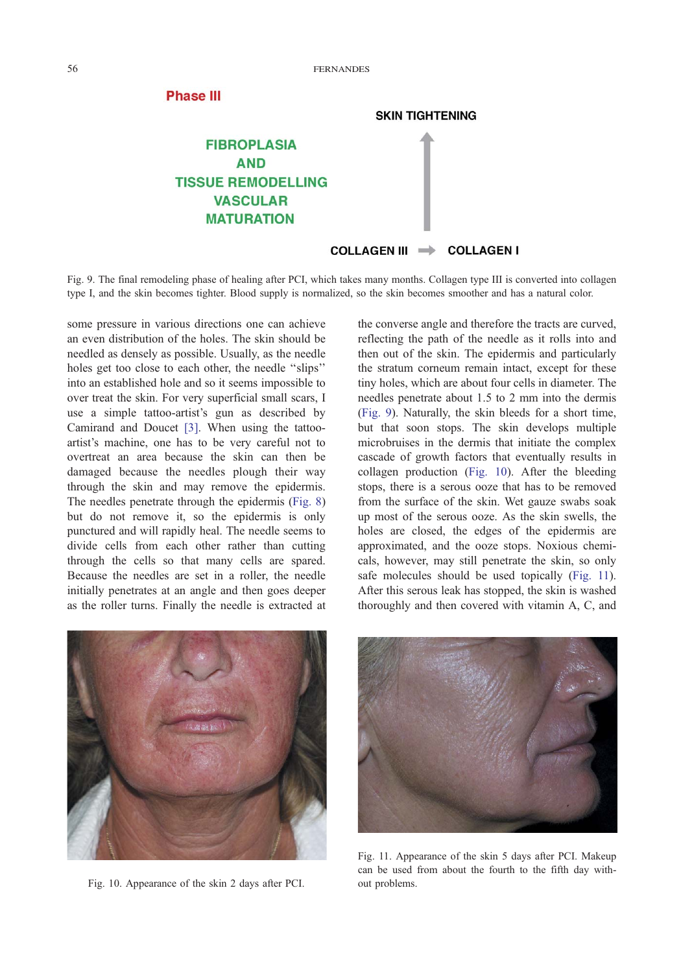

Fig. 9. The final remodeling phase of healing after PCI, which takes many months. Collagen type III is converted into collagen type I, and the skin becomes tighter. Blood supply is normalized, so the skin becomes smoother and has a natural color.

some pressure in various directions one can achieve an even distribution of the holes. The skin should be needled as densely as possible. Usually, as the needle holes get too close to each other, the needle ''slips'' into an established hole and so it seems impossible to over treat the skin. For very superficial small scars, I use a simple tattoo-artist's gun as described by Camirand and Doucet [\[3\].](#page-12-0) When using the tattooartist's machine, one has to be very careful not to overtreat an area because the skin can then be damaged because the needles plough their way through the skin and may remove the epidermis. The needles penetrate through the epidermis ([Fig. 8\)](#page-4-0) but do not remove it, so the epidermis is only punctured and will rapidly heal. The needle seems to divide cells from each other rather than cutting through the cells so that many cells are spared. Because the needles are set in a roller, the needle initially penetrates at an angle and then goes deeper as the roller turns. Finally the needle is extracted at the converse angle and therefore the tracts are curved, reflecting the path of the needle as it rolls into and then out of the skin. The epidermis and particularly the stratum corneum remain intact, except for these tiny holes, which are about four cells in diameter. The needles penetrate about 1.5 to 2 mm into the dermis (Fig. 9). Naturally, the skin bleeds for a short time, but that soon stops. The skin develops multiple microbruises in the dermis that initiate the complex cascade of growth factors that eventually results in collagen production (Fig. 10). After the bleeding stops, there is a serous ooze that has to be removed from the surface of the skin. Wet gauze swabs soak up most of the serous ooze. As the skin swells, the holes are closed, the edges of the epidermis are approximated, and the ooze stops. Noxious chemicals, however, may still penetrate the skin, so only safe molecules should be used topically (Fig. 11). After this serous leak has stopped, the skin is washed thoroughly and then covered with vitamin A, C, and



Fig. 10. Appearance of the skin 2 days after PCI.



Fig. 11. Appearance of the skin 5 days after PCI. Makeup can be used from about the fourth to the fifth day without problems.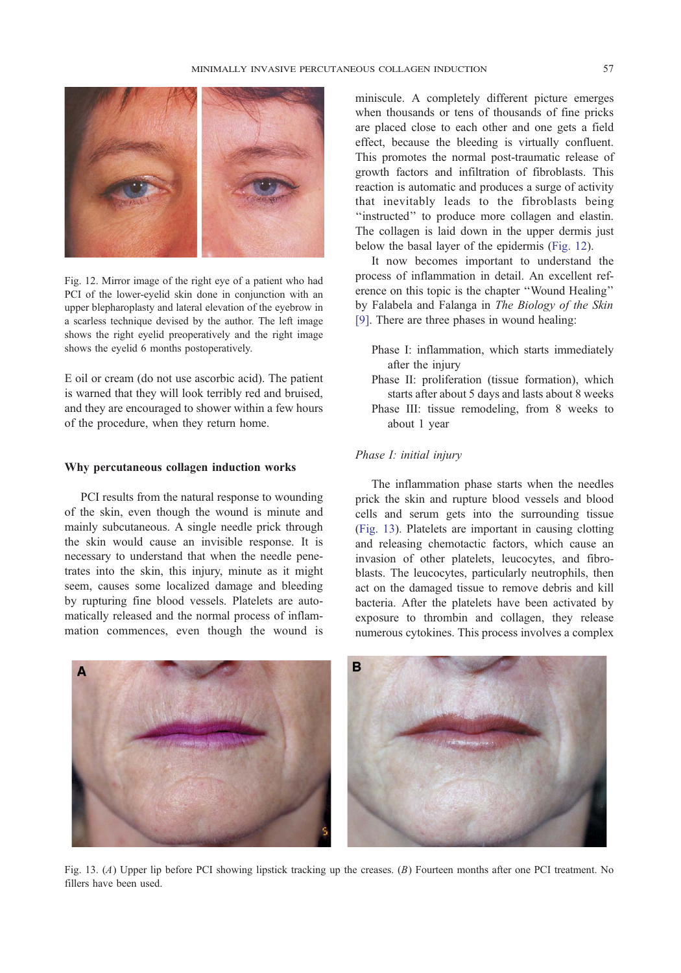

Fig. 12. Mirror image of the right eye of a patient who had PCI of the lower-eyelid skin done in conjunction with an upper blepharoplasty and lateral elevation of the eyebrow in a scarless technique devised by the author. The left image shows the right eyelid preoperatively and the right image shows the eyelid 6 months postoperatively.

E oil or cream (do not use ascorbic acid). The patient is warned that they will look terribly red and bruised, and they are encouraged to shower within a few hours of the procedure, when they return home.

#### Why percutaneous collagen induction works

PCI results from the natural response to wounding of the skin, even though the wound is minute and mainly subcutaneous. A single needle prick through the skin would cause an invisible response. It is necessary to understand that when the needle penetrates into the skin, this injury, minute as it might seem, causes some localized damage and bleeding by rupturing fine blood vessels. Platelets are automatically released and the normal process of inflammation commences, even though the wound is miniscule. A completely different picture emerges when thousands or tens of thousands of fine pricks are placed close to each other and one gets a field effect, because the bleeding is virtually confluent. This promotes the normal post-traumatic release of growth factors and infiltration of fibroblasts. This reaction is automatic and produces a surge of activity that inevitably leads to the fibroblasts being "instructed" to produce more collagen and elastin. The collagen is laid down in the upper dermis just below the basal layer of the epidermis (Fig. 12).

It now becomes important to understand the process of inflammation in detail. An excellent reference on this topic is the chapter ''Wound Healing'' by Falabela and Falanga in The Biology of the Skin [\[9\].](#page-12-0) There are three phases in wound healing:

- Phase I: inflammation, which starts immediately after the injury
- Phase II: proliferation (tissue formation), which starts after about 5 days and lasts about 8 weeks Phase III: tissue remodeling, from 8 weeks to about 1 year

## Phase I: initial injury

The inflammation phase starts when the needles prick the skin and rupture blood vessels and blood cells and serum gets into the surrounding tissue (Fig. 13). Platelets are important in causing clotting and releasing chemotactic factors, which cause an invasion of other platelets, leucocytes, and fibroblasts. The leucocytes, particularly neutrophils, then act on the damaged tissue to remove debris and kill bacteria. After the platelets have been activated by exposure to thrombin and collagen, they release numerous cytokines. This process involves a complex



Fig. 13. ( $A$ ) Upper lip before PCI showing lipstick tracking up the creases. ( $B$ ) Fourteen months after one PCI treatment. No fillers have been used.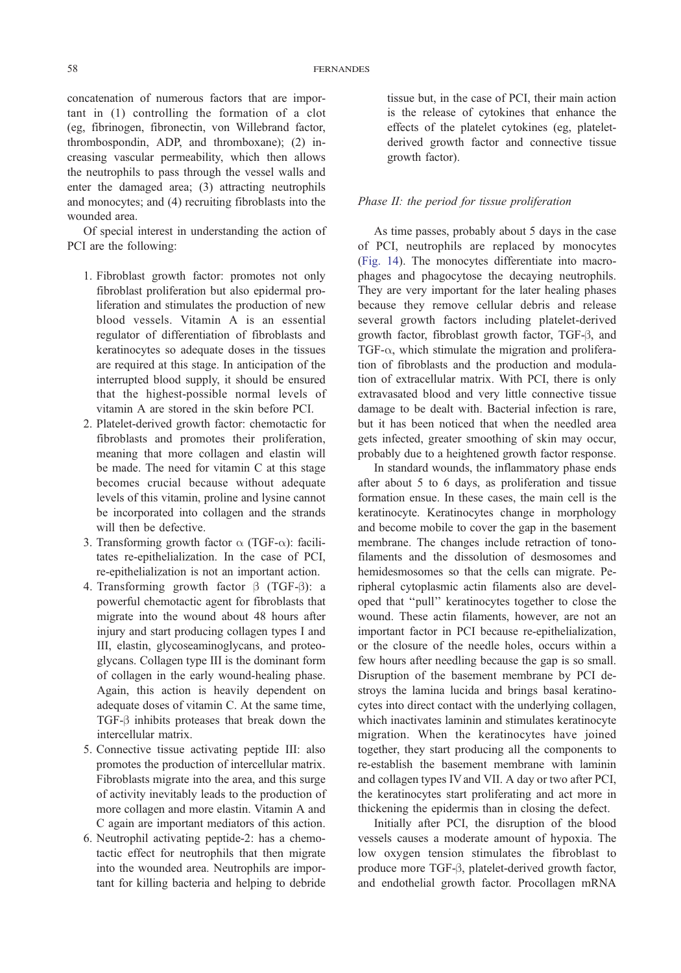concatenation of numerous factors that are important in (1) controlling the formation of a clot (eg, fibrinogen, fibronectin, von Willebrand factor, thrombospondin, ADP, and thromboxane); (2) increasing vascular permeability, which then allows the neutrophils to pass through the vessel walls and enter the damaged area; (3) attracting neutrophils and monocytes; and (4) recruiting fibroblasts into the wounded area.

Of special interest in understanding the action of PCI are the following:

- 1. Fibroblast growth factor: promotes not only fibroblast proliferation but also epidermal proliferation and stimulates the production of new blood vessels. Vitamin A is an essential regulator of differentiation of fibroblasts and keratinocytes so adequate doses in the tissues are required at this stage. In anticipation of the interrupted blood supply, it should be ensured that the highest-possible normal levels of vitamin A are stored in the skin before PCI.
- 2. Platelet-derived growth factor: chemotactic for fibroblasts and promotes their proliferation, meaning that more collagen and elastin will be made. The need for vitamin C at this stage becomes crucial because without adequate levels of this vitamin, proline and lysine cannot be incorporated into collagen and the strands will then be defective.
- 3. Transforming growth factor  $\alpha$  (TGF- $\alpha$ ): facilitates re-epithelialization. In the case of PCI, re-epithelialization is not an important action.
- 4. Transforming growth factor  $\beta$  (TGF- $\beta$ ): a powerful chemotactic agent for fibroblasts that migrate into the wound about 48 hours after injury and start producing collagen types I and III, elastin, glycoseaminoglycans, and proteoglycans. Collagen type III is the dominant form of collagen in the early wound-healing phase. Again, this action is heavily dependent on adequate doses of vitamin C. At the same time, TGF- $\beta$  inhibits proteases that break down the intercellular matrix.
- 5. Connective tissue activating peptide III: also promotes the production of intercellular matrix. Fibroblasts migrate into the area, and this surge of activity inevitably leads to the production of more collagen and more elastin. Vitamin A and C again are important mediators of this action.
- 6. Neutrophil activating peptide-2: has a chemotactic effect for neutrophils that then migrate into the wounded area. Neutrophils are important for killing bacteria and helping to debride

tissue but, in the case of PCI, their main action is the release of cytokines that enhance the effects of the platelet cytokines (eg, plateletderived growth factor and connective tissue growth factor).

#### Phase II: the period for tissue proliferation

As time passes, probably about 5 days in the case of PCI, neutrophils are replaced by monocytes ([Fig. 14\)](#page-8-0). The monocytes differentiate into macrophages and phagocytose the decaying neutrophils. They are very important for the later healing phases because they remove cellular debris and release several growth factors including platelet-derived growth factor, fibroblast growth factor, TGF- $\beta$ , and TGF- $\alpha$ , which stimulate the migration and proliferation of fibroblasts and the production and modulation of extracellular matrix. With PCI, there is only extravasated blood and very little connective tissue damage to be dealt with. Bacterial infection is rare, but it has been noticed that when the needled area gets infected, greater smoothing of skin may occur, probably due to a heightened growth factor response.

In standard wounds, the inflammatory phase ends after about 5 to 6 days, as proliferation and tissue formation ensue. In these cases, the main cell is the keratinocyte. Keratinocytes change in morphology and become mobile to cover the gap in the basement membrane. The changes include retraction of tonofilaments and the dissolution of desmosomes and hemidesmosomes so that the cells can migrate. Peripheral cytoplasmic actin filaments also are developed that ''pull'' keratinocytes together to close the wound. These actin filaments, however, are not an important factor in PCI because re-epithelialization, or the closure of the needle holes, occurs within a few hours after needling because the gap is so small. Disruption of the basement membrane by PCI destroys the lamina lucida and brings basal keratinocytes into direct contact with the underlying collagen, which inactivates laminin and stimulates keratinocyte migration. When the keratinocytes have joined together, they start producing all the components to re-establish the basement membrane with laminin and collagen types IV and VII. A day or two after PCI, the keratinocytes start proliferating and act more in thickening the epidermis than in closing the defect.

Initially after PCI, the disruption of the blood vessels causes a moderate amount of hypoxia. The low oxygen tension stimulates the fibroblast to produce more TGF- $\beta$ , platelet-derived growth factor, and endothelial growth factor. Procollagen mRNA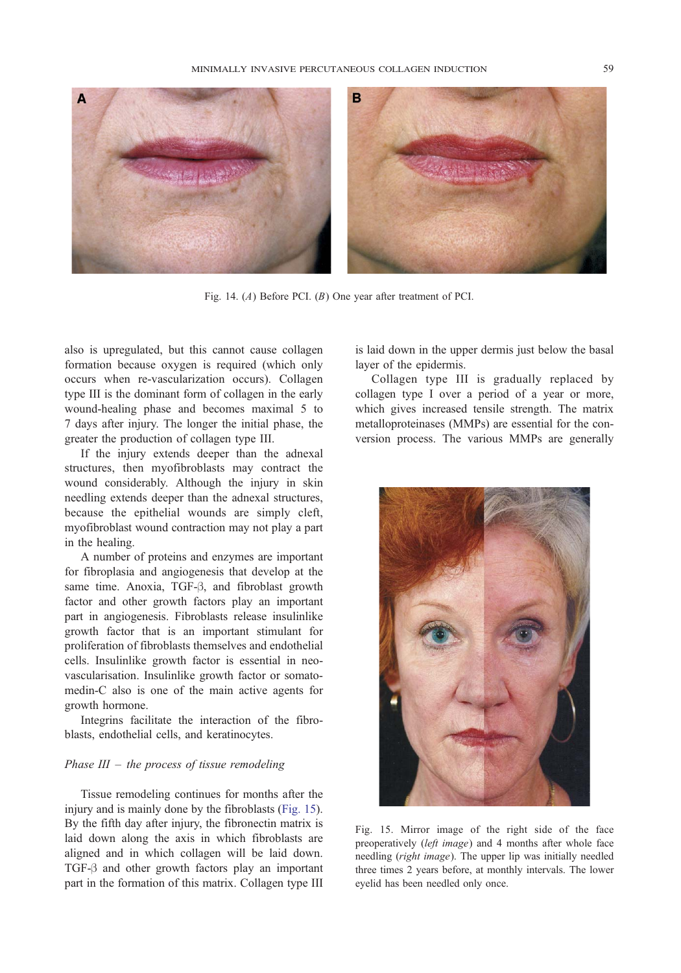<span id="page-8-0"></span>

Fig. 14. (A) Before PCI. (B) One year after treatment of PCI.

also is upregulated, but this cannot cause collagen formation because oxygen is required (which only occurs when re-vascularization occurs). Collagen type III is the dominant form of collagen in the early wound-healing phase and becomes maximal 5 to 7 days after injury. The longer the initial phase, the greater the production of collagen type III.

If the injury extends deeper than the adnexal structures, then myofibroblasts may contract the wound considerably. Although the injury in skin needling extends deeper than the adnexal structures, because the epithelial wounds are simply cleft, myofibroblast wound contraction may not play a part in the healing.

A number of proteins and enzymes are important for fibroplasia and angiogenesis that develop at the same time. Anoxia, TGF- $\beta$ , and fibroblast growth factor and other growth factors play an important part in angiogenesis. Fibroblasts release insulinlike growth factor that is an important stimulant for proliferation of fibroblasts themselves and endothelial cells. Insulinlike growth factor is essential in neovascularisation. Insulinlike growth factor or somatomedin-C also is one of the main active agents for growth hormone.

Integrins facilitate the interaction of the fibroblasts, endothelial cells, and keratinocytes.

## Phase  $III -$  the process of tissue remodeling

Tissue remodeling continues for months after the injury and is mainly done by the fibroblasts (Fig. 15). By the fifth day after injury, the fibronectin matrix is laid down along the axis in which fibroblasts are aligned and in which collagen will be laid down.  $TGF- $\beta$  and other growth factors play an important$ part in the formation of this matrix. Collagen type III is laid down in the upper dermis just below the basal layer of the epidermis.

Collagen type III is gradually replaced by collagen type I over a period of a year or more, which gives increased tensile strength. The matrix metalloproteinases (MMPs) are essential for the conversion process. The various MMPs are generally



Fig. 15. Mirror image of the right side of the face preoperatively (left image) and 4 months after whole face needling (right image). The upper lip was initially needled three times 2 years before, at monthly intervals. The lower eyelid has been needled only once.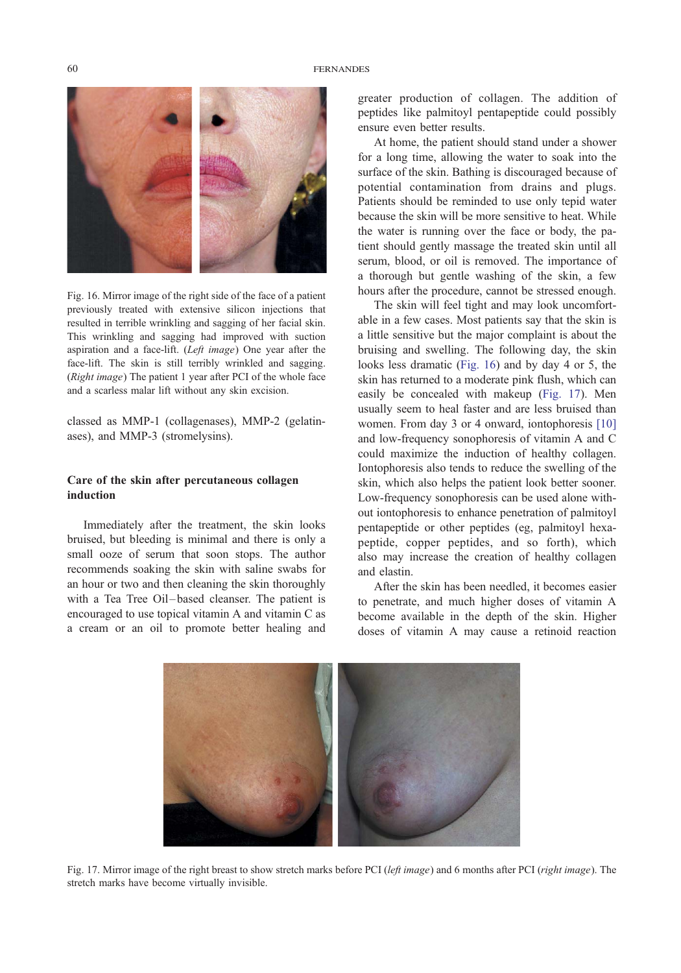

Fig. 16. Mirror image of the right side of the face of a patient previously treated with extensive silicon injections that resulted in terrible wrinkling and sagging of her facial skin. This wrinkling and sagging had improved with suction aspiration and a face-lift. (Left image) One year after the face-lift. The skin is still terribly wrinkled and sagging. (Right image) The patient 1 year after PCI of the whole face and a scarless malar lift without any skin excision.

classed as MMP-1 (collagenases), MMP-2 (gelatinases), and MMP-3 (stromelysins).

# Care of the skin after percutaneous collagen induction

Immediately after the treatment, the skin looks bruised, but bleeding is minimal and there is only a small ooze of serum that soon stops. The author recommends soaking the skin with saline swabs for an hour or two and then cleaning the skin thoroughly with a Tea Tree Oil-based cleanser. The patient is encouraged to use topical vitamin A and vitamin C as a cream or an oil to promote better healing and greater production of collagen. The addition of peptides like palmitoyl pentapeptide could possibly ensure even better results.

At home, the patient should stand under a shower for a long time, allowing the water to soak into the surface of the skin. Bathing is discouraged because of potential contamination from drains and plugs. Patients should be reminded to use only tepid water because the skin will be more sensitive to heat. While the water is running over the face or body, the patient should gently massage the treated skin until all serum, blood, or oil is removed. The importance of a thorough but gentle washing of the skin, a few hours after the procedure, cannot be stressed enough.

The skin will feel tight and may look uncomfortable in a few cases. Most patients say that the skin is a little sensitive but the major complaint is about the bruising and swelling. The following day, the skin looks less dramatic (Fig. 16) and by day 4 or 5, the skin has returned to a moderate pink flush, which can easily be concealed with makeup (Fig. 17). Men usually seem to heal faster and are less bruised than women. From day 3 or 4 onward, iontophoresis [\[10\]](#page-12-0) and low-frequency sonophoresis of vitamin A and C could maximize the induction of healthy collagen. Iontophoresis also tends to reduce the swelling of the skin, which also helps the patient look better sooner. Low-frequency sonophoresis can be used alone without iontophoresis to enhance penetration of palmitoyl pentapeptide or other peptides (eg, palmitoyl hexapeptide, copper peptides, and so forth), which also may increase the creation of healthy collagen and elastin.

After the skin has been needled, it becomes easier to penetrate, and much higher doses of vitamin A become available in the depth of the skin. Higher doses of vitamin A may cause a retinoid reaction



Fig. 17. Mirror image of the right breast to show stretch marks before PCI (left image) and 6 months after PCI (right image). The stretch marks have become virtually invisible.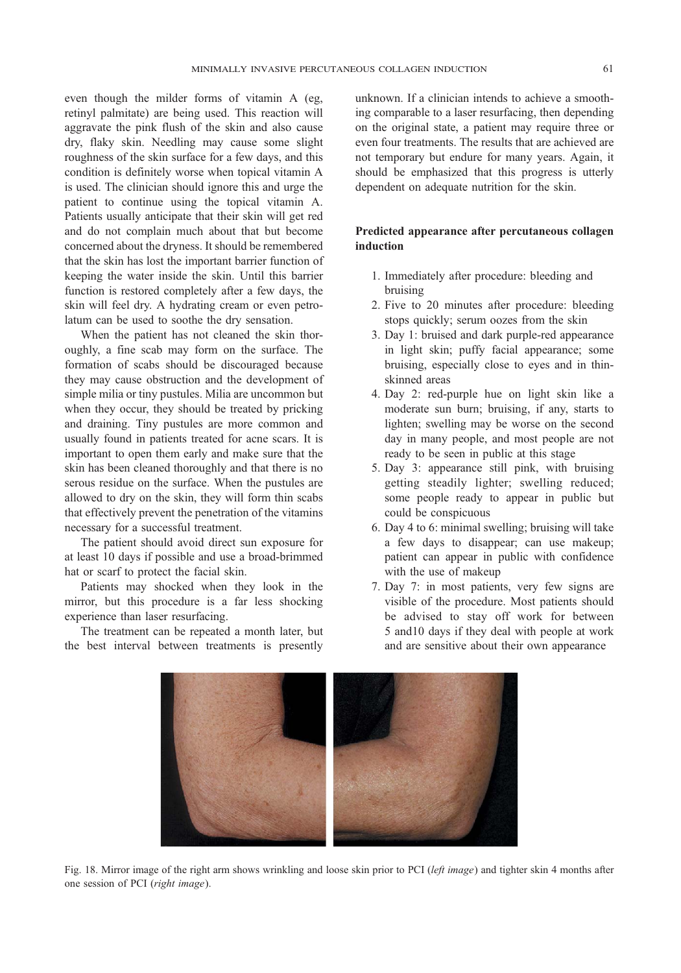<span id="page-10-0"></span>even though the milder forms of vitamin A (eg, retinyl palmitate) are being used. This reaction will aggravate the pink flush of the skin and also cause dry, flaky skin. Needling may cause some slight roughness of the skin surface for a few days, and this condition is definitely worse when topical vitamin A is used. The clinician should ignore this and urge the patient to continue using the topical vitamin A. Patients usually anticipate that their skin will get red and do not complain much about that but become concerned about the dryness. It should be remembered that the skin has lost the important barrier function of keeping the water inside the skin. Until this barrier function is restored completely after a few days, the skin will feel dry. A hydrating cream or even petrolatum can be used to soothe the dry sensation.

When the patient has not cleaned the skin thoroughly, a fine scab may form on the surface. The formation of scabs should be discouraged because they may cause obstruction and the development of simple milia or tiny pustules. Milia are uncommon but when they occur, they should be treated by pricking and draining. Tiny pustules are more common and usually found in patients treated for acne scars. It is important to open them early and make sure that the skin has been cleaned thoroughly and that there is no serous residue on the surface. When the pustules are allowed to dry on the skin, they will form thin scabs that effectively prevent the penetration of the vitamins necessary for a successful treatment.

The patient should avoid direct sun exposure for at least 10 days if possible and use a broad-brimmed hat or scarf to protect the facial skin.

Patients may shocked when they look in the mirror, but this procedure is a far less shocking experience than laser resurfacing.

The treatment can be repeated a month later, but the best interval between treatments is presently

unknown. If a clinician intends to achieve a smoothing comparable to a laser resurfacing, then depending on the original state, a patient may require three or even four treatments. The results that are achieved are not temporary but endure for many years. Again, it should be emphasized that this progress is utterly dependent on adequate nutrition for the skin.

# Predicted appearance after percutaneous collagen induction

- 1. Immediately after procedure: bleeding and bruising
- 2. Five to 20 minutes after procedure: bleeding stops quickly; serum oozes from the skin
- 3. Day 1: bruised and dark purple-red appearance in light skin; puffy facial appearance; some bruising, especially close to eyes and in thinskinned areas
- 4. Day 2: red-purple hue on light skin like a moderate sun burn; bruising, if any, starts to lighten; swelling may be worse on the second day in many people, and most people are not ready to be seen in public at this stage
- 5. Day 3: appearance still pink, with bruising getting steadily lighter; swelling reduced; some people ready to appear in public but could be conspicuous
- 6. Day 4 to 6: minimal swelling; bruising will take a few days to disappear; can use makeup; patient can appear in public with confidence with the use of makeup
- 7. Day 7: in most patients, very few signs are visible of the procedure. Most patients should be advised to stay off work for between 5 and10 days if they deal with people at work and are sensitive about their own appearance



Fig. 18. Mirror image of the right arm shows wrinkling and loose skin prior to PCI (left image) and tighter skin 4 months after one session of PCI (right image).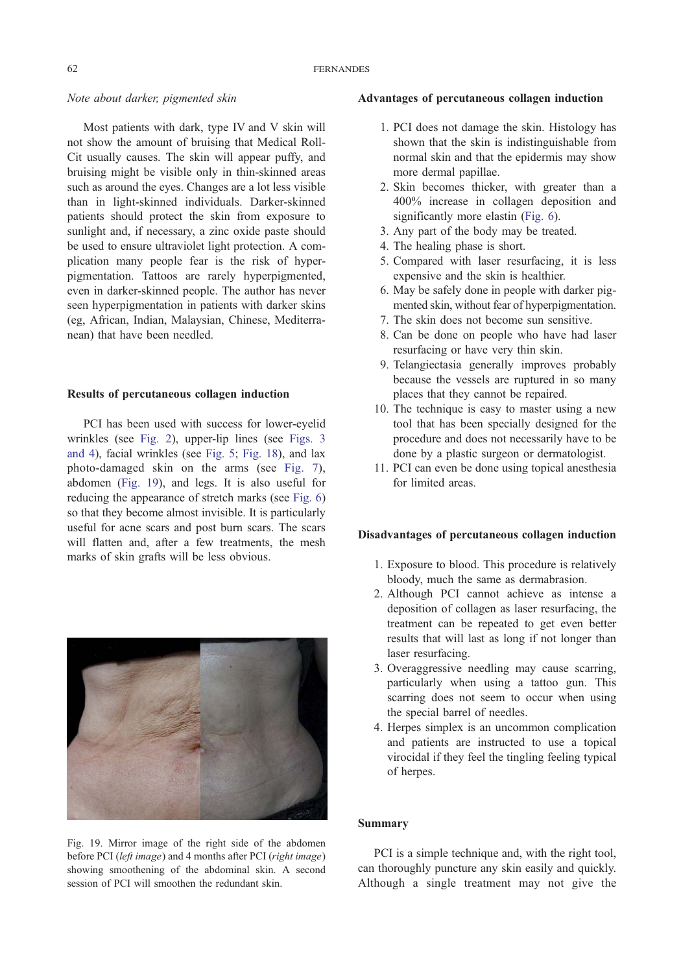#### Note about darker, pigmented skin

Most patients with dark, type IV and V skin will not show the amount of bruising that Medical Roll-Cit usually causes. The skin will appear puffy, and bruising might be visible only in thin-skinned areas such as around the eyes. Changes are a lot less visible than in light-skinned individuals. Darker-skinned patients should protect the skin from exposure to sunlight and, if necessary, a zinc oxide paste should be used to ensure ultraviolet light protection. A complication many people fear is the risk of hyperpigmentation. Tattoos are rarely hyperpigmented, even in darker-skinned people. The author has never seen hyperpigmentation in patients with darker skins (eg, African, Indian, Malaysian, Chinese, Mediterranean) that have been needled.

#### Results of percutaneous collagen induction

PCI has been used with success for lower-eyelid wrinkles (see [Fig. 2\)](#page-1-0), upper-lip lines (see [Figs. 3](#page-2-0) and 4), facial wrinkles (see [Fig. 5;](#page-3-0) [Fig. 18\)](#page-10-0), and lax photo-damaged skin on the arms (see [Fig. 7\)](#page-4-0), abdomen (Fig. 19), and legs. It is also useful for reducing the appearance of stretch marks (see [Fig. 6\)](#page-3-0) so that they become almost invisible. It is particularly useful for acne scars and post burn scars. The scars will flatten and, after a few treatments, the mesh marks of skin grafts will be less obvious.



Fig. 19. Mirror image of the right side of the abdomen before PCI (left image) and 4 months after PCI (right image) showing smoothening of the abdominal skin. A second session of PCI will smoothen the redundant skin.

#### Advantages of percutaneous collagen induction

- 1. PCI does not damage the skin. Histology has shown that the skin is indistinguishable from normal skin and that the epidermis may show more dermal papillae.
- 2. Skin becomes thicker, with greater than a 400% increase in collagen deposition and significantly more elastin ([Fig. 6\)](#page-3-0).
- 3. Any part of the body may be treated.
- 4. The healing phase is short.
- 5. Compared with laser resurfacing, it is less expensive and the skin is healthier.
- 6. May be safely done in people with darker pigmented skin, without fear of hyperpigmentation.
- 7. The skin does not become sun sensitive.
- 8. Can be done on people who have had laser resurfacing or have very thin skin.
- 9. Telangiectasia generally improves probably because the vessels are ruptured in so many places that they cannot be repaired.
- 10. The technique is easy to master using a new tool that has been specially designed for the procedure and does not necessarily have to be done by a plastic surgeon or dermatologist.
- 11. PCI can even be done using topical anesthesia for limited areas.

#### Disadvantages of percutaneous collagen induction

- 1. Exposure to blood. This procedure is relatively bloody, much the same as dermabrasion.
- 2. Although PCI cannot achieve as intense a deposition of collagen as laser resurfacing, the treatment can be repeated to get even better results that will last as long if not longer than laser resurfacing.
- 3. Overaggressive needling may cause scarring, particularly when using a tattoo gun. This scarring does not seem to occur when using the special barrel of needles.
- 4. Herpes simplex is an uncommon complication and patients are instructed to use a topical virocidal if they feel the tingling feeling typical of herpes.

## Summary

PCI is a simple technique and, with the right tool, can thoroughly puncture any skin easily and quickly. Although a single treatment may not give the